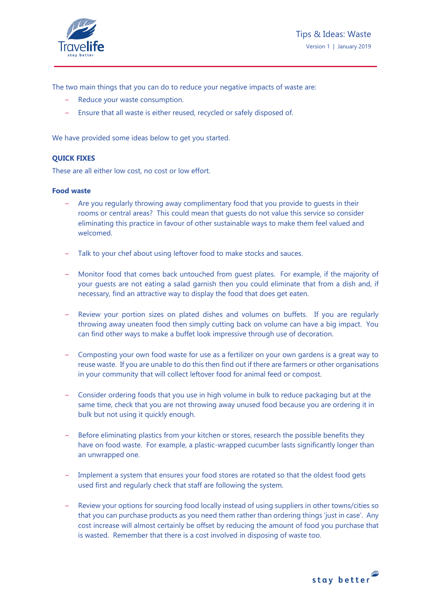

The two main things that you can do to reduce your negative impacts of waste are:

- Reduce your waste consumption.
- Ensure that all waste is either reused, recycled or safely disposed of.

We have provided some ideas below to get you started.

# **QUICK FIXES**

These are all either low cost, no cost or low effort.

### **Food waste**

- Are you regularly throwing away complimentary food that you provide to guests in their rooms or central areas? This could mean that guests do not value this service so consider eliminating this practice in favour of other sustainable ways to make them feel valued and welcomed.
- Talk to your chef about using leftover food to make stocks and sauces.
- Monitor food that comes back untouched from guest plates. For example, if the majority of your guests are not eating a salad garnish then you could eliminate that from a dish and, if necessary, find an attractive way to display the food that does get eaten.
- Review your portion sizes on plated dishes and volumes on buffets. If you are regularly throwing away uneaten food then simply cutting back on volume can have a big impact. You can find other ways to make a buffet look impressive through use of decoration.
- Composting your own food waste for use as a fertilizer on your own gardens is a great way to reuse waste. If you are unable to do this then find out if there are farmers or other organisations in your community that will collect leftover food for animal feed or compost.
- Consider ordering foods that you use in high volume in bulk to reduce packaging but at the same time, check that you are not throwing away unused food because you are ordering it in bulk but not using it quickly enough.
- Before eliminating plastics from your kitchen or stores, research the possible benefits they have on food waste. For example, a plastic-wrapped cucumber lasts significantly longer than an unwrapped one.
- Implement a system that ensures your food stores are rotated so that the oldest food gets used first and regularly check that staff are following the system.
- Review your options for sourcing food locally instead of using suppliers in other towns/cities so that you can purchase products as you need them rather than ordering things 'just in case'. Any cost increase will almost certainly be offset by reducing the amount of food you purchase that is wasted. Remember that there is a cost involved in disposing of waste too.

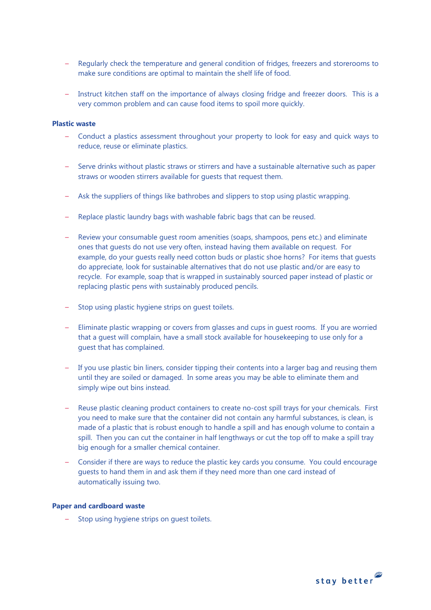- Regularly check the temperature and general condition of fridges, freezers and storerooms to make sure conditions are optimal to maintain the shelf life of food.
- Instruct kitchen staff on the importance of always closing fridge and freezer doors. This is a very common problem and can cause food items to spoil more quickly.

### **Plastic waste**

- Conduct a plastics assessment throughout your property to look for easy and quick ways to reduce, reuse or eliminate plastics.
- Serve drinks without plastic straws or stirrers and have a sustainable alternative such as paper straws or wooden stirrers available for guests that request them.
- Ask the suppliers of things like bathrobes and slippers to stop using plastic wrapping.
- Replace plastic laundry bags with washable fabric bags that can be reused.
- Review your consumable guest room amenities (soaps, shampoos, pens etc.) and eliminate ones that guests do not use very often, instead having them available on request. For example, do your guests really need cotton buds or plastic shoe horns? For items that guests do appreciate, look for sustainable alternatives that do not use plastic and/or are easy to recycle. For example, soap that is wrapped in sustainably sourced paper instead of plastic or replacing plastic pens with sustainably produced pencils.
- Stop using plastic hygiene strips on guest toilets.
- Eliminate plastic wrapping or covers from glasses and cups in guest rooms. If you are worried that a guest will complain, have a small stock available for housekeeping to use only for a guest that has complained.
- If you use plastic bin liners, consider tipping their contents into a larger bag and reusing them until they are soiled or damaged. In some areas you may be able to eliminate them and simply wipe out bins instead.
- Reuse plastic cleaning product containers to create no-cost spill trays for your chemicals. First you need to make sure that the container did not contain any harmful substances, is clean, is made of a plastic that is robust enough to handle a spill and has enough volume to contain a spill. Then you can cut the container in half lengthways or cut the top off to make a spill tray big enough for a smaller chemical container.
- Consider if there are ways to reduce the plastic key cards you consume. You could encourage guests to hand them in and ask them if they need more than one card instead of automatically issuing two.

#### **Paper and cardboard waste**

Stop using hygiene strips on quest toilets.

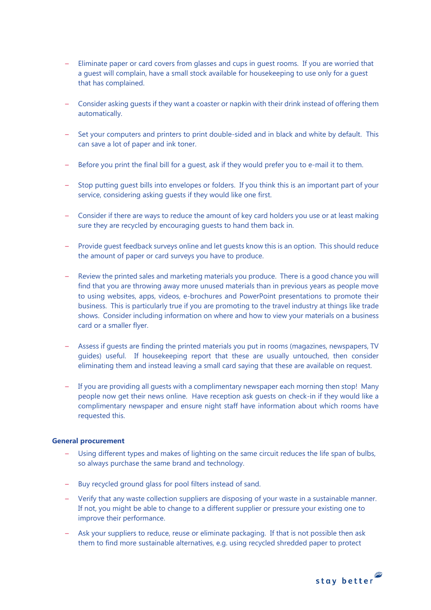- Eliminate paper or card covers from glasses and cups in guest rooms. If you are worried that a guest will complain, have a small stock available for housekeeping to use only for a guest that has complained.
- Consider asking guests if they want a coaster or napkin with their drink instead of offering them automatically.
- Set your computers and printers to print double-sided and in black and white by default. This can save a lot of paper and ink toner.
- Before you print the final bill for a guest, ask if they would prefer you to e-mail it to them.
- Stop putting guest bills into envelopes or folders. If you think this is an important part of your service, considering asking guests if they would like one first.
- Consider if there are ways to reduce the amount of key card holders you use or at least making sure they are recycled by encouraging guests to hand them back in.
- Provide guest feedback surveys online and let guests know this is an option. This should reduce the amount of paper or card surveys you have to produce.
- Review the printed sales and marketing materials you produce. There is a good chance you will find that you are throwing away more unused materials than in previous years as people move to using websites, apps, videos, e-brochures and PowerPoint presentations to promote their business. This is particularly true if you are promoting to the travel industry at things like trade shows. Consider including information on where and how to view your materials on a business card or a smaller flyer.
- Assess if guests are finding the printed materials you put in rooms (magazines, newspapers, TV guides) useful. If housekeeping report that these are usually untouched, then consider eliminating them and instead leaving a small card saying that these are available on request.
- If you are providing all guests with a complimentary newspaper each morning then stop! Many people now get their news online. Have reception ask guests on check-in if they would like a complimentary newspaper and ensure night staff have information about which rooms have requested this.

### **General procurement**

- Using different types and makes of lighting on the same circuit reduces the life span of bulbs, so always purchase the same brand and technology.
- Buy recycled ground glass for pool filters instead of sand.
- Verify that any waste collection suppliers are disposing of your waste in a sustainable manner. If not, you might be able to change to a different supplier or pressure your existing one to improve their performance.
- Ask your suppliers to reduce, reuse or eliminate packaging. If that is not possible then ask them to find more sustainable alternatives, e.g. using recycled shredded paper to protect

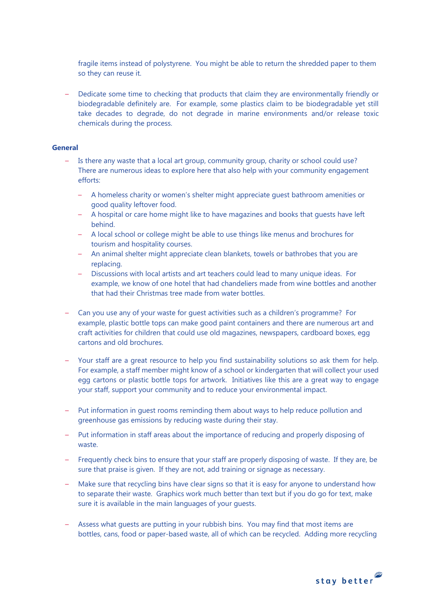fragile items instead of polystyrene. You might be able to return the shredded paper to them so they can reuse it.

– Dedicate some time to checking that products that claim they are environmentally friendly or biodegradable definitely are. For example, some plastics claim to be biodegradable yet still take decades to degrade, do not degrade in marine environments and/or release toxic chemicals during the process.

### **General**

- Is there any waste that a local art group, community group, charity or school could use? There are numerous ideas to explore here that also help with your community engagement efforts:
	- A homeless charity or women's shelter might appreciate guest bathroom amenities or good quality leftover food.
	- A hospital or care home might like to have magazines and books that guests have left behind.
	- A local school or college might be able to use things like menus and brochures for tourism and hospitality courses.
	- An animal shelter might appreciate clean blankets, towels or bathrobes that you are replacing.
	- Discussions with local artists and art teachers could lead to many unique ideas. For example, we know of one hotel that had chandeliers made from wine bottles and another that had their Christmas tree made from water bottles.
- Can you use any of your waste for guest activities such as a children's programme? For example, plastic bottle tops can make good paint containers and there are numerous art and craft activities for children that could use old magazines, newspapers, cardboard boxes, egg cartons and old brochures.
- Your staff are a great resource to help you find sustainability solutions so ask them for help. For example, a staff member might know of a school or kindergarten that will collect your used egg cartons or plastic bottle tops for artwork. Initiatives like this are a great way to engage your staff, support your community and to reduce your environmental impact.
- Put information in guest rooms reminding them about ways to help reduce pollution and greenhouse gas emissions by reducing waste during their stay.
- Put information in staff areas about the importance of reducing and properly disposing of waste.
- Frequently check bins to ensure that your staff are properly disposing of waste. If they are, be sure that praise is given. If they are not, add training or signage as necessary.
- Make sure that recycling bins have clear signs so that it is easy for anyone to understand how to separate their waste. Graphics work much better than text but if you do go for text, make sure it is available in the main languages of your guests.
- Assess what guests are putting in your rubbish bins. You may find that most items are bottles, cans, food or paper-based waste, all of which can be recycled. Adding more recycling

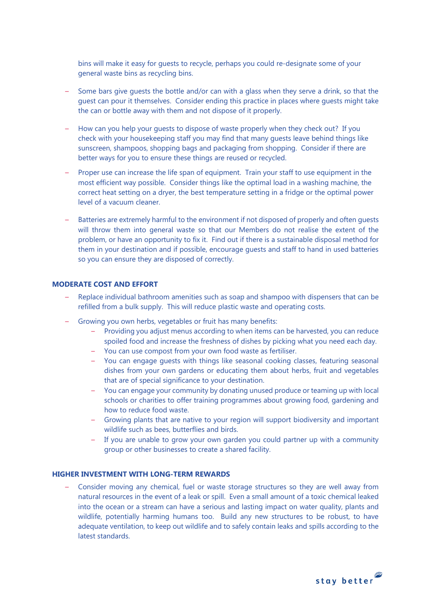bins will make it easy for guests to recycle, perhaps you could re-designate some of your general waste bins as recycling bins.

- Some bars give guests the bottle and/or can with a glass when they serve a drink, so that the guest can pour it themselves. Consider ending this practice in places where guests might take the can or bottle away with them and not dispose of it properly.
- How can you help your guests to dispose of waste properly when they check out? If you check with your housekeeping staff you may find that many guests leave behind things like sunscreen, shampoos, shopping bags and packaging from shopping. Consider if there are better ways for you to ensure these things are reused or recycled.
- Proper use can increase the life span of equipment. Train your staff to use equipment in the most efficient way possible. Consider things like the optimal load in a washing machine, the correct heat setting on a dryer, the best temperature setting in a fridge or the optimal power level of a vacuum cleaner.
- Batteries are extremely harmful to the environment if not disposed of properly and often guests will throw them into general waste so that our Members do not realise the extent of the problem, or have an opportunity to fix it. Find out if there is a sustainable disposal method for them in your destination and if possible, encourage guests and staff to hand in used batteries so you can ensure they are disposed of correctly.

# **MODERATE COST AND EFFORT**

- Replace individual bathroom amenities such as soap and shampoo with dispensers that can be refilled from a bulk supply. This will reduce plastic waste and operating costs.
- Growing you own herbs, vegetables or fruit has many benefits:
	- Providing you adjust menus according to when items can be harvested, you can reduce spoiled food and increase the freshness of dishes by picking what you need each day.
	- You can use compost from your own food waste as fertiliser.
	- You can engage guests with things like seasonal cooking classes, featuring seasonal dishes from your own gardens or educating them about herbs, fruit and vegetables that are of special significance to your destination.
	- You can engage your community by donating unused produce or teaming up with local schools or charities to offer training programmes about growing food, gardening and how to reduce food waste.
	- Growing plants that are native to your region will support biodiversity and important wildlife such as bees, butterflies and birds.
	- If you are unable to grow your own garden you could partner up with a community group or other businesses to create a shared facility.

## **HIGHER INVESTMENT WITH LONG-TERM REWARDS**

– Consider moving any chemical, fuel or waste storage structures so they are well away from natural resources in the event of a leak or spill. Even a small amount of a toxic chemical leaked into the ocean or a stream can have a serious and lasting impact on water quality, plants and wildlife, potentially harming humans too. Build any new structures to be robust, to have adequate ventilation, to keep out wildlife and to safely contain leaks and spills according to the latest standards.